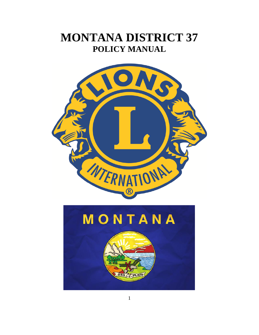# **MONTANA DISTRICT 37 POLICY MANUAL**

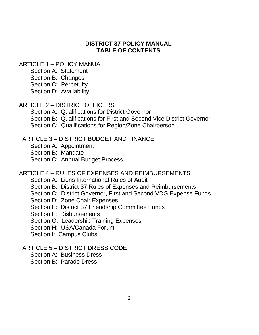#### **DISTRICT 37 POLICY MANUAL TABLE OF CONTENTS**

#### ARTICLE 1 – POLICY MANUAL

- Section A: Statement
- Section B: Changes
- Section C: Perpetuity
- Section D: Availability

#### ARTICLE 2 – DISTRICT OFFICERS

- Section A: Qualifications for District Governor
- Section B: Qualifications for First and Second Vice District Governor
- Section C: Qualifications for Region/Zone Chairperson

#### ARTICLE 3 – DISTRICT BUDGET AND FINANCE

- Section A: Appointment
- Section B: Mandate
- Section C: Annual Budget Process

#### ARTICLE 4 – RULES OF EXPENSES AND REIMBURSEMENTS

- Section A: Lions International Rules of Audit
- Section B: District 37 Rules of Expenses and Reimbursements
- Section C: District Governor, First and Second VDG Expense Funds
- Section D: Zone Chair Expenses
- Section E: District 37 Friendship Committee Funds
- Section F: Disbursements
- Section G: Leadership Training Expenses
- Section H: USA/Canada Forum
- Section I: Campus Clubs
- ARTICLE 5 DISTRICT DRESS CODE
	- Section A: Business Dress
	- Section B: Parade Dress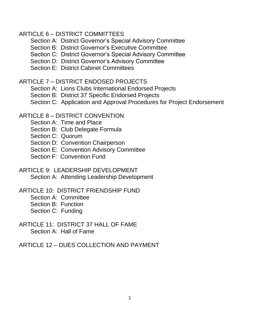#### ARTICLE 6 – DISTRICT COMMITTEES

- Section A: District Governor's Special Advisory Committee
- Section B: District Governor's Executive Committee
- Section C: District Governor's Special Advisory Committee
- Section D: District Governor's Advisory Committee
- Section E: District Cabinet Committees

# ARTICLE 7 – DISTRICT ENDOSED PROJECTS

- Section A: Lions Clubs International Endorsed Projects
- Section B: District 37 Specific Endorsed Projects
- Section C: Application and Approval Procedures for Project Endorsement

# ARTICLE 8 – DISTRICT CONVENTION

- Section A: Time and Place
- Section B: Club Delegate Formula
- Section C: Quorum
- Section D: Convention Chairperson
- Section E: Convention Advisory Committee
- Section F: Convention Fund
- ARTICLE 9: LEADERSHIP DEVELOPMENT Section A: Attending Leadership Development
- ARTICLE 10: DISTRICT FRIENDSHIP FUND
	- Section A: Committee
	- Section B: Function
	- Section C: Funding
- ARTICLE 11: DISTRICT 37 HALL OF FAME Section A: Hall of Fame
- ARTICLE 12 DUES COLLECTION AND PAYMENT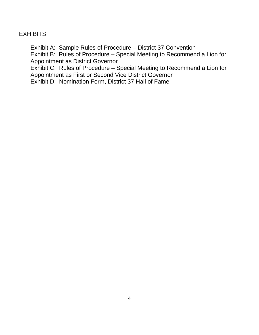#### **EXHIBITS**

Exhibit A: Sample Rules of Procedure – District 37 Convention

Exhibit B: Rules of Procedure – Special Meeting to Recommend a Lion for Appointment as District Governor

Exhibit C: Rules of Procedure – Special Meeting to Recommend a Lion for Appointment as First or Second Vice District Governor

Exhibit D: Nomination Form, District 37 Hall of Fame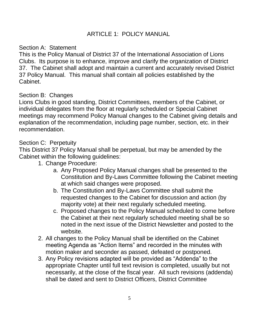#### ARTICLE 1: POLICY MANUAL

#### Section A: Statement

This is the Policy Manual of District 37 of the International Association of Lions Clubs. Its purpose is to enhance, improve and clarify the organization of District 37. The Cabinet shall adopt and maintain a current and accurately revised District 37 Policy Manual. This manual shall contain all policies established by the Cabinet.

#### Section B: Changes

Lions Clubs in good standing, District Committees, members of the Cabinet, or individual delegates from the floor at regularly scheduled or Special Cabinet meetings may recommend Policy Manual changes to the Cabinet giving details and explanation of the recommendation, including page number, section, etc. in their recommendation.

#### Section C: Perpetuity

This District 37 Policy Manual shall be perpetual, but may be amended by the Cabinet within the following guidelines:

- 1. Change Procedure:
	- a. Any Proposed Policy Manual changes shall be presented to the Constitution and By-Laws Committee following the Cabinet meeting at which said changes were proposed.
	- b. The Constitution and By-Laws Committee shall submit the requested changes to the Cabinet for discussion and action (by majority vote) at their next regularly scheduled meeting.
	- c. Proposed changes to the Policy Manual scheduled to come before the Cabinet at their next regularly scheduled meeting shall be so noted in the next issue of the District Newsletter and posted to the website.
- 2. All changes to the Policy Manual shall be identified on the Cabinet meeting Agenda as "Action Items" and recorded in the minutes with motion maker and seconder as passed, defeated or postponed.
- 3. Any Policy revisions adapted will be provided as "Addenda" to the appropriate Chapter until full text revision is completed, usually but not necessarily, at the close of the fiscal year. All such revisions (addenda) shall be dated and sent to District Officers, District Committee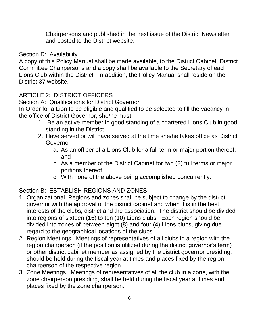Chairpersons and published in the next issue of the District Newsletter and posted to the District website.

#### Section D: Availability

A copy of this Policy Manual shall be made available, to the District Cabinet, District Committee Chairpersons and a copy shall be available to the Secretary of each Lions Club within the District. In addition, the Policy Manual shall reside on the District 37 website.

# ARTICLE 2: DISTRICT OFFICERS

Section A: Qualifications for District Governor

In Order for a Lion to be eligible and qualified to be selected to fill the vacancy in the office of District Governor, she/he must:

- 1. Be an active member in good standing of a chartered Lions Club in good standing in the District.
- 2. Have served or will have served at the time she/he takes office as District Governor:
	- a. As an officer of a Lions Club for a full term or major portion thereof; and
	- b. As a member of the District Cabinet for two (2) full terms or major portions thereof.
	- c. With none of the above being accomplished concurrently.

# Section B: ESTABLISH REGIONS AND ZONES

- 1. Organizational. Regions and zones shall be subject to change by the district governor with the approval of the district cabinet and when it is in the best interests of the clubs, district and the association. The district should be divided into regions of sixteen (16) to ten (10) Lions clubs. Each region should be divided into zones of between eight (8) and four (4) Lions clubs, giving due regard to the geographical locations of the clubs.
- 2. Region Meetings. Meetings of representatives of all clubs in a region with the region chairperson (if the position is utilized during the district governor's term) or other district cabinet member as assigned by the district governor presiding, should be held during the fiscal year at times and places fixed by the region chairperson of the respective region.
- 3. Zone Meetings. Meetings of representatives of all the club in a zone, with the zone chairperson presiding, shall be held during the fiscal year at times and places fixed by the zone chairperson.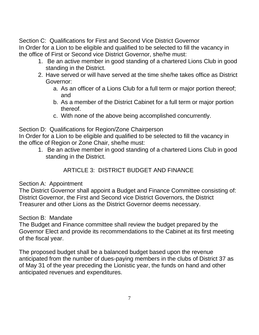Section C: Qualifications for First and Second Vice District Governor In Order for a Lion to be eligible and qualified to be selected to fill the vacancy in the office of First or Second vice District Governor, she/he must:

- 1. Be an active member in good standing of a chartered Lions Club in good standing in the District.
- 2. Have served or will have served at the time she/he takes office as District Governor:
	- a. As an officer of a Lions Club for a full term or major portion thereof; and
	- b. As a member of the District Cabinet for a full term or major portion thereof.
	- c. With none of the above being accomplished concurrently.

Section D: Qualifications for Region/Zone Chairperson

In Order for a Lion to be eligible and qualified to be selected to fill the vacancy in the office of Region or Zone Chair, she/he must:

1. Be an active member in good standing of a chartered Lions Club in good standing in the District.

# ARTICLE 3: DISTRICT BUDGET AND FINANCE

# Section A: Appointment

The District Governor shall appoint a Budget and Finance Committee consisting of: District Governor, the First and Second vice District Governors, the District Treasurer and other Lions as the District Governor deems necessary.

# Section B: Mandate

The Budget and Finance committee shall review the budget prepared by the Governor Elect and provide its recommendations to the Cabinet at its first meeting of the fiscal year.

The proposed budget shall be a balanced budget based upon the revenue anticipated from the number of dues-paying members in the clubs of District 37 as of May 31 of the year preceding the Lionistic year, the funds on hand and other anticipated revenues and expenditures.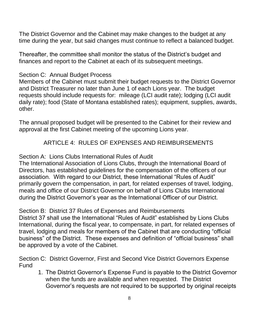The District Governor and the Cabinet may make changes to the budget at any time during the year, but said changes must continue to reflect a balanced budget.

Thereafter, the committee shall monitor the status of the District's budget and finances and report to the Cabinet at each of its subsequent meetings.

## Section C: Annual Budget Process

Members of the Cabinet must submit their budget requests to the District Governor and District Treasurer no later than June 1 of each Lions year. The budget requests should include requests for: mileage (LCI audit rate); lodging (LCI audit daily rate); food (State of Montana established rates); equipment, supplies, awards, other.

The annual proposed budget will be presented to the Cabinet for their review and approval at the first Cabinet meeting of the upcoming Lions year.

# ARTICLE 4: RULES OF EXPENSES AND REIMBURSEMENTS

## Section A: Lions Clubs International Rules of Audit

The International Association of Lions Clubs, through the International Board of Directors, has established guidelines for the compensation of the officers of our association. With regard to our District, these International "Rules of Audit" primarily govern the compensation, in part, for related expenses of travel, lodging, meals and office of our District Governor on behalf of Lions Clubs International during the District Governor's year as the International Officer of our District.

#### Section B: District 37 Rules of Expenses and Reimbursements

District 37 shall use the International "Rules of Audit" established by Lions Clubs International, during the fiscal year, to compensate, in part, for related expenses of travel, lodging and meals for members of the Cabinet that are conducting "official business" of the District. These expenses and definition of "official business" shall be approved by a vote of the Cabinet.

Section C: District Governor, First and Second Vice District Governors Expense Fund

1. The District Governor's Expense Fund is payable to the District Governor when the funds are available and when requested. The District Governor's requests are not required to be supported by original receipts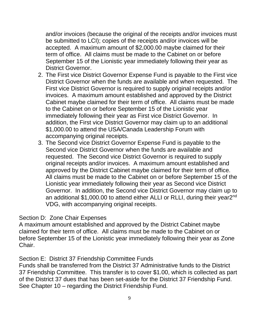and/or invoices (because the original of the receipts and/or invoices must be submitted to LCI); copies of the receipts and/or invoices will be accepted. A maximum amount of \$2,000.00 maybe claimed for their term of office. All claims must be made to the Cabinet on or before September 15 of the Lionistic year immediately following their year as District Governor.

- 2. The First vice District Governor Expense Fund is payable to the First vice District Governor when the funds are available and when requested. The First vice District Governor is required to supply original receipts and/or invoices. A maximum amount established and approved by the District Cabinet maybe claimed for their term of office. All claims must be made to the Cabinet on or before September 15 of the Lionistic year immediately following their year as First vice District Governor. In addition, the First vice District Governor may claim up to an additional \$1,000.00 to attend the USA/Canada Leadership Forum with accompanying original receipts.
- 3. The Second vice District Governor Expense Fund is payable to the Second vice District Governor when the funds are available and requested. The Second vice District Governor is required to supply original receipts and/or invoices. A maximum amount established and approved by the District Cabinet maybe claimed for their term of office. All claims must be made to the Cabinet on or before September 15 of the Lionistic year immediately following their year as Second vice District Governor. In addition, the Second vice District Governor may claim up to an additional \$1,000.00 to attend either ALLI or RLLI, during their year2<sup>nd</sup> VDG, with accompanying original receipts.

#### Section D: Zone Chair Expenses

A maximum amount established and approved by the District Cabinet maybe claimed for their term of office. All claims must be made to the Cabinet on or before September 15 of the Lionistic year immediately following their year as Zone Chair.

#### Section E: District 37 Friendship Committee Funds

Funds shall be transferred from the District 37 Administrative funds to the District 37 Friendship Committee. This transfer is to cover \$1.00, which is collected as part of the District 37 dues that has been set-aside for the District 37 Friendship Fund. See Chapter 10 – regarding the District Friendship Fund.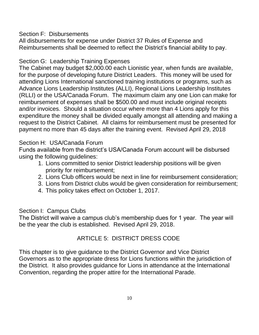Section F: Disbursements

All disbursements for expense under District 37 Rules of Expense and Reimbursements shall be deemed to reflect the District's financial ability to pay.

# Section G: Leadership Training Expenses

The Cabinet may budget \$2,000.00 each Lionistic year, when funds are available, for the purpose of developing future District Leaders. This money will be used for attending Lions International sanctioned training institutions or programs, such as Advance Lions Leadership Institutes (ALLI), Regional Lions Leadership Institutes (RLLI) or the USA/Canada Forum. The maximum claim any one Lion can make for reimbursement of expenses shall be \$500.00 and must include original receipts and/or invoices. Should a situation occur where more than 4 Lions apply for this expenditure the money shall be divided equally amongst all attending and making a request to the District Cabinet. All claims for reimbursement must be presented for payment no more than 45 days after the training event. Revised April 29, 2018

# Section H: USA/Canada Forum

Funds available from the district's USA/Canada Forum account will be disbursed using the following guidelines:

- 1. Lions committed to senior District leadership positions will be given priority for reimbursement;
- 2. Lions Club officers would be next in line for reimbursement consideration;
- 3. Lions from District clubs would be given consideration for reimbursement;
- 4. This policy takes effect on October 1, 2017.

# Section I: Campus Clubs

The District will waive a campus club's membership dues for 1 year. The year will be the year the club is established. Revised April 29, 2018.

# ARTICLE 5: DISTRICT DRESS CODE

This chapter is to give guidance to the District Governor and Vice District Governors as to the appropriate dress for Lions functions within the jurisdiction of the District. It also provides guidance for Lions in attendance at the International Convention, regarding the proper attire for the International Parade.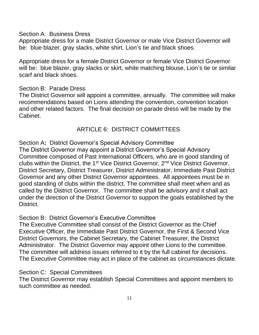Section A: Business Dress

Appropriate dress for a male District Governor or male Vice District Governor will be: blue blazer, gray slacks, white shirt, Lion's tie and black shoes.

Appropriate dress for a female District Governor or female Vice District Governor will be: blue blazer, gray slacks or skirt, white matching blouse, Lion's tie or similar scarf and black shoes.

#### Section B: Parade Dress

The District Governor will appoint a committee, annually. The committee will make recommendations based on Lions attending the convention, convention location and other related factors. The final decision on parade dress will be made by the Cabinet.

# ARTICLE 6: DISTRICT COMMITTEES

Section A**:** District Governor's Special Advisory Committee

The District Governor may appoint a District Governor's Special Advisory Committee composed of Past International Officers, who are in good standing of clubs within the District, the 1<sup>st</sup> Vice District Governor, 2<sup>nd</sup> Vice District Governor, District Secretary, District Treasurer, District Administrator, Immediate Past District Governor and any other District Governor appointees. All appointees must be in good standing of clubs within the district. The committee shall meet when and as called by the District Governor. The committee shall be advisory and it shall act under the direction of the District Governor to support the goals established by the District.

Section B: District Governor's Executive Committee

The Executive Committee shall consist of the District Governor as the Chief Executive Officer, the Immediate Past District Governor, the First & Second Vice District Governors, the Cabinet Secretary, the Cabinet Treasurer, the District Administrator. The District Governor may appoint other Lions to the committee. The committee will address issues referred to it by the full cabinet for decisions. The Executive Committee may act in place of the cabinet as circumstances dictate.

Section C: Special Committees

The District Governor may establish Special Committees and appoint members to such committee as needed.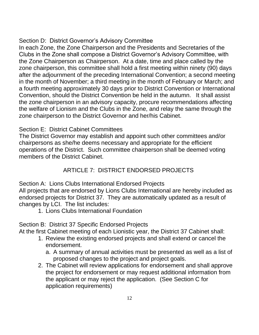## Section D: District Governor's Advisory Committee

In each Zone, the Zone Chairperson and the Presidents and Secretaries of the Clubs in the Zone shall compose a District Governor's Advisory Committee, with the Zone Chairperson as Chairperson. At a date, time and place called by the zone chairperson, this committee shall hold a first meeting within ninety (90) days after the adjournment of the preceding International Convention; a second meeting in the month of November; a third meeting in the month of February or March; and a fourth meeting approximately 30 days prior to District Convention or International Convention, should the District Convention be held in the autumn. It shall assist the zone chairperson in an advisory capacity, procure recommendations affecting the welfare of Lionism and the Clubs in the Zone, and relay the same through the zone chairperson to the District Governor and her/his Cabinet.

# Section E: District Cabinet Committees

The District Governor may establish and appoint such other committees and/or chairpersons as she/he deems necessary and appropriate for the efficient operations of the District. Such committee chairperson shall be deemed voting members of the District Cabinet.

# ARTICLE 7: DISTRICT ENDORSED PROJECTS

Section A: Lions Clubs International Endorsed Projects

All projects that are endorsed by Lions Clubs International are hereby included as endorsed projects for District 37. They are automatically updated as a result of changes by LCI. The list includes:

1. Lions Clubs International Foundation

Section B: District 37 Specific Endorsed Projects

At the first Cabinet meeting of each Lionistic year, the District 37 Cabinet shall:

- 1. Review the existing endorsed projects and shall extend or cancel the endorsement.
	- a. A summary of annual activities must be presented as well as a list of proposed changes to the project and project goals.
- 2. The Cabinet will review applications for endorsement and shall approve the project for endorsement or may request additional information from the applicant or may reject the application. (See Section C for application requirements)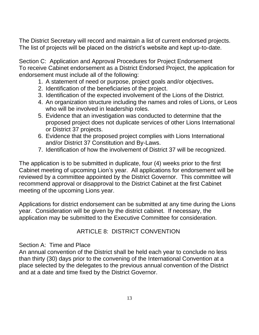The District Secretary will record and maintain a list of current endorsed projects. The list of projects will be placed on the district's website and kept up-to-date.

Section C: Application and Approval Procedures for Project Endorsement To receive Cabinet endorsement as a District Endorsed Project, the application for endorsement must include all of the following:

- 1. A statement of need or purpose, project goals and/or objectives**.**
- 2. Identification of the beneficiaries of the project.
- 3. Identification of the expected involvement of the Lions of the District.
- 4. An organization structure including the names and roles of Lions, or Leos who will be involved in leadership roles.
- 5. Evidence that an investigation was conducted to determine that the proposed project does not duplicate services of other Lions International or District 37 projects.
- 6. Evidence that the proposed project complies with Lions International and/or District 37 Constitution and By-Laws.
- 7. Identification of how the involvement of District 37 will be recognized.

The application is to be submitted in duplicate, four (4) weeks prior to the first Cabinet meeting of upcoming Lion's year. All applications for endorsement will be reviewed by a committee appointed by the District Governor. This committee will recommend approval or disapproval to the District Cabinet at the first Cabinet meeting of the upcoming Lions year.

Applications for district endorsement can be submitted at any time during the Lions year. Consideration will be given by the district cabinet. If necessary, the application may be submitted to the Executive Committee for consideration.

# ARTICLE 8: DISTRICT CONVENTION

#### Section A: Time and Place

An annual convention of the District shall be held each year to conclude no less than thirty (30) days prior to the convening of the International Convention at a place selected by the delegates to the previous annual convention of the District and at a date and time fixed by the District Governor.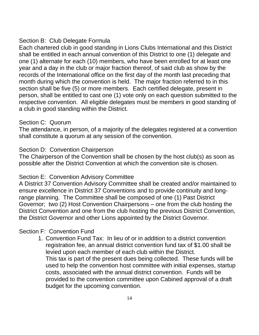#### Section B: Club Delegate Formula

Each chartered club in good standing in Lions Clubs International and this District shall be entitled in each annual convention of this District to one (1) delegate and one (1) alternate for each (10) members, who have been enrolled for at least one year and a day in the club or major fraction thereof, of said club as show by the records of the International office on the first day of the month last preceding that month during which the convention is held. The major fraction referred to in this section shall be five (5) or more members. Each certified delegate, present in person, shall be entitled to cast one (1) vote only on each question submitted to the respective convention. All eligible delegates must be members in good standing of a club in good standing within the District.

#### Section C: Quorum

The attendance, in person, of a majority of the delegates registered at a convention shall constitute a quorum at any session of the convention.

#### Section D: Convention Chairperson

The Chairperson of the Convention shall be chosen by the host club(s) as soon as possible after the District Convention at which the convention site is chosen.

#### Section E: Convention Advisory Committee

A District 37 Convention Advisory Committee shall be created and/or maintained to ensure excellence in District 37 Conventions and to provide continuity and longrange planning. The Committee shall be composed of one (1) Past District Governor; two (2) Host Convention Chairpersons – one from the club hosting the District Convention and one from the club hosting the previous District Convention, the District Governor and other Lions appointed by the District Governor.

#### Section F: Convention Fund

1. Convention Fund Tax: In lieu of or in addition to a district convention registration fee, an annual district convention fund tax of \$1.00 shall be levied upon each member of each club within the District. This tax is part of the present dues being collected. These funds will be used to help the convention host committee with initial expenses, startup costs, associated with the annual district convention. Funds will be provided to the convention committee upon Cabined approval of a draft budget for the upcoming convention.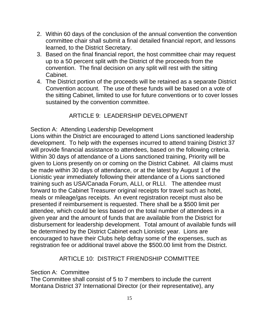- 2. Within 60 days of the conclusion of the annual convention the convention committee chair shall submit a final detailed financial report, and lessons learned, to the District Secretary.
- 3. Based on the final financial report, the host committee chair may request up to a 50 percent split with the District of the proceeds from the convention. The final decision on any split will rest with the sitting Cabinet.
- 4. The District portion of the proceeds will be retained as a separate District Convention account. The use of these funds will be based on a vote of the sitting Cabinet, limited to use for future conventions or to cover losses sustained by the convention committee.

# ARTICLE 9: LEADERSHIP DEVELOPMENT

#### Section A: Attending Leadership Development

Lions within the District are encouraged to attend Lions sanctioned leadership development. To help with the expenses incurred to attend training District 37 will provide financial assistance to attendees, based on the following criteria. Within 30 days of attendance of a Lions sanctioned training, Priority will be given to Lions presently on or coming on the District Cabinet. All claims must be made within 30 days of attendance, or at the latest by August 1 of the Lionistic year immediately following their attendance of a Lions sanctioned training such as USA/Canada Forum, ALLI, or RLLI. The attendee must forward to the Cabinet Treasurer original receipts for travel such as hotel, meals or mileage/gas receipts. An event registration receipt must also be presented if reimbursement is requested. There shall be a \$500 limit per attendee, which could be less based on the total number of attendees in a given year and the amount of funds that are available from the District for disbursement for leadership development. Total amount of available funds will be determined by the District Cabinet each Lionistic year. Lions are encouraged to have their Clubs help defray some of the expenses, such as registration fee or additional travel above the \$500.00 limit from the District.

#### ARTICLE 10: DISTRICT FRIENDSHIP COMMITTEE

#### Section A: Committee

The Committee shall consist of 5 to 7 members to include the current Montana District 37 International Director (or their representative), any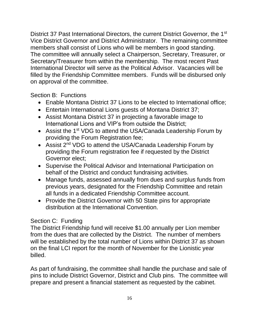District 37 Past International Directors, the current District Governor, the 1<sup>st</sup> Vice District Governor and District Administrator. The remaining committee members shall consist of Lions who will be members in good standing. The committee will annually select a Chairperson, Secretary, Treasurer, or Secretary/Treasurer from within the membership. The most recent Past International Director will serve as the Political Advisor. Vacancies will be filled by the Friendship Committee members. Funds will be disbursed only on approval of the committee.

Section B: Functions

- Enable Montana District 37 Lions to be elected to International office;
- Entertain International Lions guests of Montana District 37;
- Assist Montana District 37 in projecting a favorable image to International Lions and VIP's from outside the District;
- Assist the 1<sup>st</sup> VDG to attend the USA/Canada Leadership Forum by providing the Forum Registration fee;
- Assist 2<sup>nd</sup> VDG to attend the USA/Canada Leadership Forum by providing the Forum registration fee if requested by the District Governor elect;
- Supervise the Political Advisor and International Participation on behalf of the District and conduct fundraising activities.
- Manage funds, assessed annually from dues and surplus funds from previous years, designated for the Friendship Committee and retain all funds in a dedicated Friendship Committee account.
- Provide the District Governor with 50 State pins for appropriate distribution at the International Convention.

# Section C: Funding

The District Friendship fund will receive \$1.00 annually per Lion member from the dues that are collected by the District. The number of members will be established by the total number of Lions within District 37 as shown on the final LCI report for the month of November for the Lionistic year billed.

As part of fundraising, the committee shall handle the purchase and sale of pins to include District Governor, District and Club pins. The committee will prepare and present a financial statement as requested by the cabinet.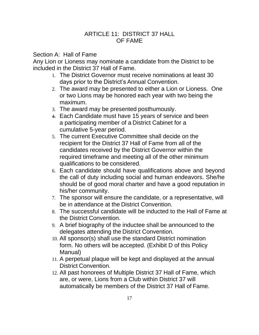#### ARTICLE 11: DISTRICT 37 HALL OF FAME

#### Section A: Hall of Fame

Any Lion or Lioness may nominate a candidate from the District to be included in the District 37 Hall of Fame.

- 1. The District Governor must receive nominations at least 30 days prior to the District's Annual Convention.
- 2. The award may be presented to either a Lion or Lioness. One or two Lions may be honored each year with two being the maximum.
- 3. The award may be presented posthumously.
- 4. Each Candidate must have 15 years of service and been a participating member of a District Cabinet for a cumulative 5-year period.
- 5. The current Executive Committee shall decide on the recipient for the District 37 Hall of Fame from all of the candidates received by the District Governor within the required timeframe and meeting all of the other minimum qualifications to be considered.
- 6. Each candidate should have qualifications above and beyond the call of duty including social and human endeavors. She/he should be of good moral charter and have a good reputation in his/her community.
- 7. The sponsor will ensure the candidate, or a representative, will be in attendance at the District Convention.
- 8. The successful candidate will be inducted to the Hall of Fame at the District Convention.
- 9. A brief biography of the inductee shall be announced to the delegates attending the District Convention.
- 10. All sponsor(s) shall use the standard District nomination form. No others will be accepted. (Exhibit D of this Policy Manual)
- 11. A perpetual plaque will be kept and displayed at the annual District Convention.
- 12. All past honorees of Multiple District 37 Hall of Fame, which are, or were, Lions from a Club within District 37 will automatically be members of the District 37 Hall of Fame.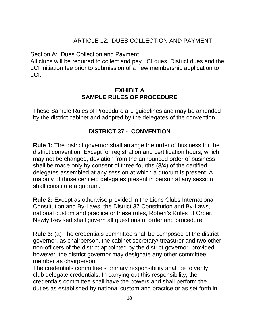## ARTICLE 12: DUES COLLECTION AND PAYMENT

Section A: Dues Collection and Payment

All clubs will be required to collect and pay LCI dues, District dues and the LCI initiation fee prior to submission of a new membership application to LCI.

#### **EXHIBIT A SAMPLE RULES OF PROCEDURE**

These Sample Rules of Procedure are guidelines and may be amended by the district cabinet and adopted by the delegates of the convention.

## **DISTRICT 37 - CONVENTION**

**Rule 1:** The district governor shall arrange the order of business for the district convention. Except for registration and certification hours, which may not be changed, deviation from the announced order of business shall be made only by consent of three-fourths (3/4) of the certified delegates assembled at any session at which a quorum is present. A majority of those certified delegates present in person at any session shall constitute a quorum.

**Rule 2:** Except as otherwise provided in the Lions Clubs International Constitution and By-Laws, the District 37 Constitution and By-Laws, national custom and practice or these rules, Robert's Rules of Order, Newly Revised shall govern all questions of order and procedure.

**Rule 3:** (a) The credentials committee shall be composed of the district governor, as chairperson, the cabinet secretary/ treasurer and two other non-officers of the district appointed by the district governor; provided, however, the district governor may designate any other committee member as chairperson.

The credentials committee's primary responsibility shall be to verify club delegate credentials. In carrying out this responsibility, the credentials committee shall have the powers and shall perform the duties as established by national custom and practice or as set forth in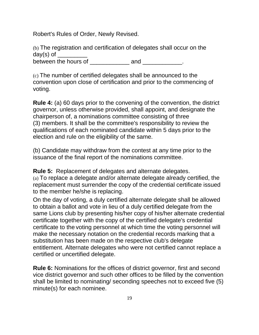Robert's Rules of Order, Newly Revised.

(b) The registration and certification of delegates shall occur on the day(s) of between the hours of  $\frac{1}{2}$  and  $\frac{1}{2}$  and  $\frac{1}{2}$ .

(c) The number of certified delegates shall be announced to the convention upon close of certification and prior to the commencing of voting.

**Rule 4:** (a) 60 days prior to the convening of the convention, the district governor, unless otherwise provided, shall appoint, and designate the chairperson of, a nominations committee consisting of three (3) members. It shall be the committee's responsibility to review the qualifications of each nominated candidate within 5 days prior to the election and rule on the eligibility of the same.

(b) Candidate may withdraw from the contest at any time prior to the issuance of the final report of the nominations committee.

**Rule 5:** Replacement of delegates and alternate delegates. (a) To replace a delegate and/or alternate delegate already certified, the replacement must surrender the copy of the credential certificate issued to the member he/she is replacing.

On the day of voting, a duly certified alternate delegate shall be allowed to obtain a ballot and vote in lieu of a duly certified delegate from the same Lions club by presenting his/her copy of his/her alternate credential certificate together with the copy of the certified delegate's credential certificate to the voting personnel at which time the voting personnel will make the necessary notation on the credential records marking that a substitution has been made on the respective club's delegate entitlement. Alternate delegates who were not certified cannot replace a certified or uncertified delegate.

**Rule 6:** Nominations for the offices of district governor, first and second vice district governor and such other offices to be filled by the convention shall be limited to nominating/ seconding speeches not to exceed five (5) minute(s) for each nominee.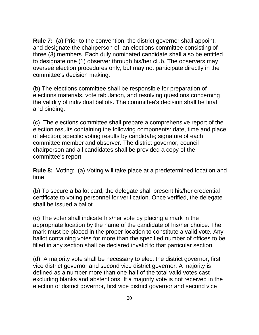**Rule 7: (**a) Prior to the convention, the district governor shall appoint, and designate the chairperson of, an elections committee consisting of three (3) members. Each duly nominated candidate shall also be entitled to designate one (1) observer through his/her club. The observers may oversee election procedures only, but may not participate directly in the committee's decision making.

(b) The elections committee shall be responsible for preparation of elections materials, vote tabulation, and resolving questions concerning the validity of individual ballots. The committee's decision shall be final and binding.

(c) The elections committee shall prepare a comprehensive report of the election results containing the following components: date, time and place of election; specific voting results by candidate; signature of each committee member and observer. The district governor, council chairperson and all candidates shall be provided a copy of the committee's report.

**Rule 8:** Voting: (a) Voting will take place at a predetermined location and time.

(b) To secure a ballot card, the delegate shall present his/her credential certificate to voting personnel for verification. Once verified, the delegate shall be issued a ballot.

(c) The voter shall indicate his/her vote by placing a mark in the appropriate location by the name of the candidate of his/her choice. The mark must be placed in the proper location to constitute a valid vote. Any ballot containing votes for more than the specified number of offices to be filled in any section shall be declared invalid to that particular section.

(d) A majority vote shall be necessary to elect the district governor, first vice district governor and second vice district governor. A majority is defined as a number more than one-half of the total valid votes cast excluding blanks and abstentions. If a majority vote is not received in the election of district governor, first vice district governor and second vice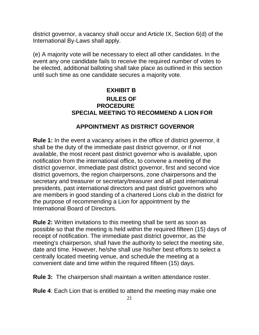district governor, a vacancy shall occur and Article IX, Section 6(d) of the International By-Laws shall apply.

(e) A majority vote will be necessary to elect all other candidates. In the event any one candidate fails to receive the required number of votes to be elected, additional balloting shall take place as outlined in this section until such time as one candidate secures a majority vote.

# **EXHIBIT B RULES OF PROCEDURE SPECIAL MEETING TO RECOMMEND A LION FOR**

# **APPOINTMENT AS DISTRICT GOVERNOR**

**Rule 1:** In the event a vacancy arises in the office of district governor, it shall be the duty of the immediate past district governor, or if not available, the most recent past district governor who is available, upon notification from the international office, to convene a meeting of the district governor, immediate past district governor, first and second vice district governors, the region chairpersons, zone chairpersons and the secretary and treasurer or secretary/treasurer and all past international presidents, past international directors and past district governors who are members in good standing of a chartered Lions club in the district for the purpose of recommending a Lion for appointment by the International Board of Directors.

**Rule 2:** Written invitations to this meeting shall be sent as soon as possible so that the meeting is held within the required fifteen (15) days of receipt of notification. The immediate past district governor, as the meeting's chairperson, shall have the authority to select the meeting site, date and time. However, he/she shall use his/her best efforts to select a centrally located meeting venue, and schedule the meeting at a convenient date and time within the required fifteen (15) days.

**Rule 3:** The chairperson shall maintain a written attendance roster.

**Rule 4**: Each Lion that is entitled to attend the meeting may make one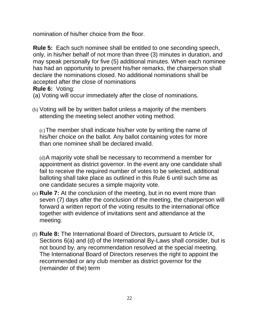nomination of his/her choice from the floor.

**Rule 5:** Each such nominee shall be entitled to one seconding speech, only, in his/her behalf of not more than three (3) minutes in duration, and may speak personally for five (5) additional minutes. When each nominee has had an opportunity to present his/her remarks, the chairperson shall declare the nominations closed. No additional nominations shall be accepted after the close of nominations

**Rule 6:** Voting:

(a) Voting will occur immediately after the close of nominations.

(b) Voting will be by written ballot unless a majority of the members attending the meeting select another voting method.

(c)The member shall indicate his/her vote by writing the name of his/her choice on the ballot. Any ballot containing votes for more than one nominee shall be declared invalid.

(d)A majority vote shall be necessary to recommend a member for appointment as district governor. In the event any one candidate shall fail to receive the required number of votes to be selected, additional balloting shall take place as outlined in this Rule 6 until such time as one candidate secures a simple majority vote.

- (e) **Rule 7:** At the conclusion of the meeting, but in no event more than seven (7) days after the conclusion of the meeting, the chairperson will forward a written report of the voting results to the international office together with evidence of invitations sent and attendance at the meeting.
- (f) **Rule 8:** The International Board of Directors, pursuant to Article IX, Sections 6(a) and (d) of the International By-Laws shall consider, but is not bound by, any recommendation resolved at the special meeting. The International Board of Directors reserves the right to appoint the recommended or any club member as district governor for the (remainder of the) term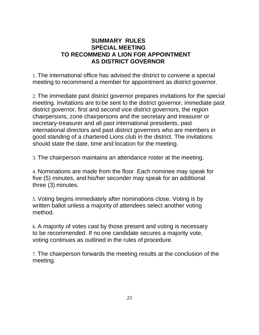#### **SUMMARY RULES SPECIAL MEETING TO RECOMMEND A LION FOR APPOINTMENT AS DISTRICT GOVERNOR**

1. The international office has advised the district to convene a special meeting to recommend a member for appointment as district governor.

2. The immediate past district governor prepares invitations for the special meeting. Invitations are to be sent to the district governor, immediate past district governor, first and second vice district governors, the region chairpersons, zone chairpersons and the secretary and treasurer or secretary-treasurer and all past international presidents, past international directors and past district governors who are members in good standing of a chartered Lions club in the district. The invitations should state the date, time and location for the meeting.

3. The chairperson maintains an attendance roster at the meeting.

4. Nominations are made from the floor. Each nominee may speak for five (5) minutes, and his/her seconder may speak for an additional three (3) minutes.

5. Voting begins immediately after nominations close. Voting is by written ballot unless a majority of attendees select another voting method.

6. A majority of votes cast by those present and voting is necessary to be recommended. If no one candidate secures a majority vote, voting continues as outlined in the rules of procedure.

7. The chairperson forwards the meeting results at the conclusion of the meeting.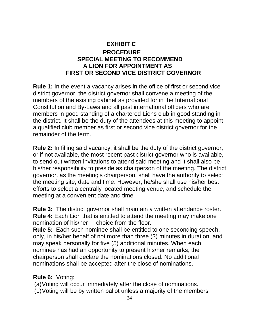# **EXHIBIT C PROCEDURE SPECIAL MEETING TO RECOMMEND A LION FOR APPOINTMENT AS FIRST OR SECOND VICE DISTRICT GOVERNOR**

**Rule 1:** In the event a vacancy arises in the office of first or second vice district governor, the district governor shall convene a meeting of the members of the existing cabinet as provided for in the International Constitution and By-Laws and all past international officers who are members in good standing of a chartered Lions club in good standing in the district. It shall be the duty of the attendees at this meeting to appoint a qualified club member as first or second vice district governor for the remainder of the term.

**Rule 2:** In filling said vacancy, it shall be the duty of the district governor, or if not available, the most recent past district governor who is available, to send out written invitations to attend said meeting and it shall also be his/her responsibility to preside as chairperson of the meeting. The district governor, as the meeting's chairperson, shall have the authority to select the meeting site, date and time. However, he/she shall use his/her best efforts to select a centrally located meeting venue, and schedule the meeting at a convenient date and time.

**Rule 3:** The district governor shall maintain a written attendance roster. **Rule 4:** Each Lion that is entitled to attend the meeting may make one nomination of his/her choice from the floor.

**Rule 5:** Each such nominee shall be entitled to one seconding speech, only, in his/her behalf of not more than three (3) minutes in duration, and may speak personally for five (5) additional minutes. When each nominee has had an opportunity to present his/her remarks, the chairperson shall declare the nominations closed. No additional nominations shall be accepted after the close of nominations.

#### **Rule 6:** Voting:

(a)Voting will occur immediately after the close of nominations.

(b)Voting will be by written ballot unless a majority of the members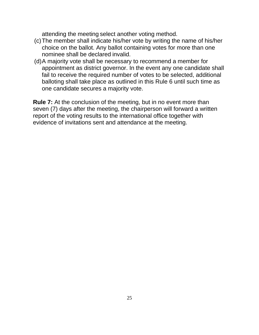attending the meeting select another voting method.

- (c)The member shall indicate his/her vote by writing the name of his/her choice on the ballot. Any ballot containing votes for more than one nominee shall be declared invalid.
- (d)A majority vote shall be necessary to recommend a member for appointment as district governor. In the event any one candidate shall fail to receive the required number of votes to be selected, additional balloting shall take place as outlined in this Rule 6 until such time as one candidate secures a majority vote.

**Rule 7:** At the conclusion of the meeting, but in no event more than seven (7) days after the meeting, the chairperson will forward a written report of the voting results to the international office together with evidence of invitations sent and attendance at the meeting.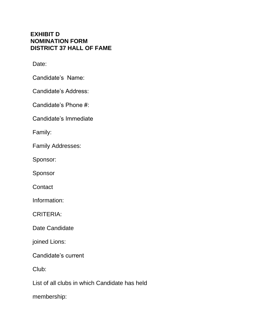#### **EXHIBIT D NOMINATION FORM DISTRICT 37 HALL OF FAME**

Date:

Candidate's Name:

Candidate's Address:

Candidate's Phone #:

Candidate's Immediate

Family:

Family Addresses:

Sponsor:

Sponsor

**Contact** 

Information:

CRITERIA:

Date Candidate

joined Lions:

Candidate's current

Club:

List of all clubs in which Candidate has held

membership: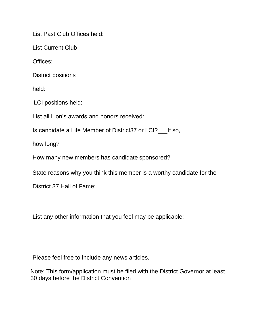List Past Club Offices held:

List Current Club

Offices:

District positions

held:

LCI positions held:

List all Lion's awards and honors received:

Is candidate a Life Member of District37 or LCI? If so,

how long?

How many new members has candidate sponsored?

State reasons why you think this member is a worthy candidate for the

District 37 Hall of Fame:

List any other information that you feel may be applicable:

Please feel free to include any news articles.

Note: This form/application must be filed with the District Governor at least 30 days before the District Convention